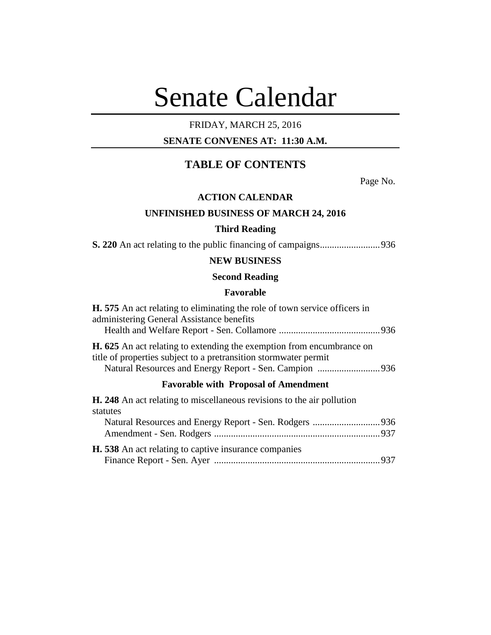# Senate Calendar

# FRIDAY, MARCH 25, 2016

## **SENATE CONVENES AT: 11:30 A.M.**

# **TABLE OF CONTENTS**

Page No.

## **ACTION CALENDAR**

## **UNFINISHED BUSINESS OF MARCH 24, 2016**

## **Third Reading**

**S. 220** An act relating to the public financing of campaigns.........................936

## **NEW BUSINESS**

## **Second Reading**

## **Favorable**

| <b>H.</b> 575 An act relating to eliminating the role of town service officers in<br>administering General Assistance benefits                   |  |
|--------------------------------------------------------------------------------------------------------------------------------------------------|--|
| <b>H. 625</b> An act relating to extending the exemption from encumbrance on<br>title of properties subject to a pretransition stormwater permit |  |
| <b>Favorable with Proposal of Amendment</b>                                                                                                      |  |
| <b>H. 248</b> An act relating to miscellaneous revisions to the air pollution<br>statutes                                                        |  |
|                                                                                                                                                  |  |
| H. 538 An act relating to captive insurance companies                                                                                            |  |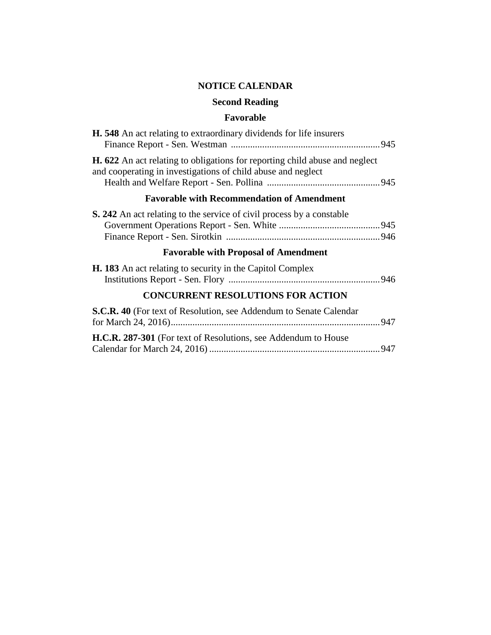# **NOTICE CALENDAR**

# **Second Reading**

# **Favorable**

| <b>H.</b> 548 An act relating to extraordinary dividends for life insurers                                                                         |  |
|----------------------------------------------------------------------------------------------------------------------------------------------------|--|
| <b>H. 622</b> An act relating to obligations for reporting child abuse and neglect<br>and cooperating in investigations of child abuse and neglect |  |
| <b>Favorable with Recommendation of Amendment</b>                                                                                                  |  |
| <b>S. 242</b> An act relating to the service of civil process by a constable                                                                       |  |
| <b>Favorable with Proposal of Amendment</b>                                                                                                        |  |
| <b>H. 183</b> An act relating to security in the Capitol Complex                                                                                   |  |
| <b>CONCURRENT RESOLUTIONS FOR ACTION</b>                                                                                                           |  |
|                                                                                                                                                    |  |
| S.C.R. 40 (For text of Resolution, see Addendum to Senate Calendar                                                                                 |  |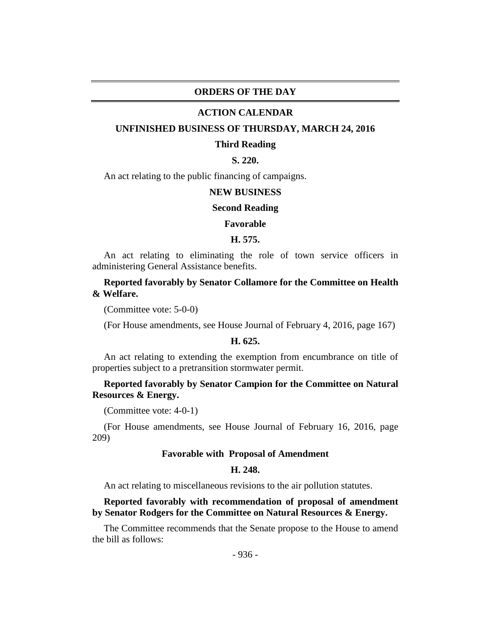## **ORDERS OF THE DAY**

#### **ACTION CALENDAR**

#### **UNFINISHED BUSINESS OF THURSDAY, MARCH 24, 2016**

#### **Third Reading**

## **S. 220.**

An act relating to the public financing of campaigns.

#### **NEW BUSINESS**

#### **Second Reading**

#### **Favorable**

## **H. 575.**

An act relating to eliminating the role of town service officers in administering General Assistance benefits.

## **Reported favorably by Senator Collamore for the Committee on Health & Welfare.**

(Committee vote: 5-0-0)

(For House amendments, see House Journal of February 4, 2016, page 167)

#### **H. 625.**

An act relating to extending the exemption from encumbrance on title of properties subject to a pretransition stormwater permit.

## **Reported favorably by Senator Campion for the Committee on Natural Resources & Energy.**

(Committee vote: 4-0-1)

(For House amendments, see House Journal of February 16, 2016, page 209)

## **Favorable with Proposal of Amendment**

#### **H. 248.**

An act relating to miscellaneous revisions to the air pollution statutes.

## **Reported favorably with recommendation of proposal of amendment by Senator Rodgers for the Committee on Natural Resources & Energy.**

The Committee recommends that the Senate propose to the House to amend the bill as follows: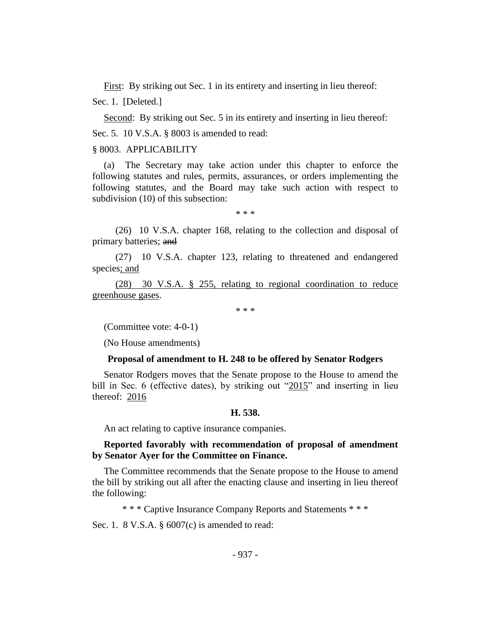First: By striking out Sec. 1 in its entirety and inserting in lieu thereof: Sec. 1. [Deleted.]

Second: By striking out Sec. 5 in its entirety and inserting in lieu thereof: Sec. 5. 10 V.S.A. § 8003 is amended to read:

## § 8003. APPLICABILITY

(a) The Secretary may take action under this chapter to enforce the following statutes and rules, permits, assurances, or orders implementing the following statutes, and the Board may take such action with respect to subdivision (10) of this subsection:

\* \* \*

(26) 10 V.S.A. chapter 168, relating to the collection and disposal of primary batteries; and

(27) 10 V.S.A. chapter 123, relating to threatened and endangered species; and

(28) 30 V.S.A. § 255, relating to regional coordination to reduce greenhouse gases.

\* \* \*

(Committee vote: 4-0-1)

(No House amendments)

#### **Proposal of amendment to H. 248 to be offered by Senator Rodgers**

Senator Rodgers moves that the Senate propose to the House to amend the bill in Sec. 6 (effective dates), by striking out "2015" and inserting in lieu thereof: 2016

#### **H. 538.**

An act relating to captive insurance companies.

**Reported favorably with recommendation of proposal of amendment by Senator Ayer for the Committee on Finance.**

The Committee recommends that the Senate propose to the House to amend the bill by striking out all after the enacting clause and inserting in lieu thereof the following:

\* \* \* Captive Insurance Company Reports and Statements \* \* \*

Sec. 1. 8 V.S.A. § 6007(c) is amended to read: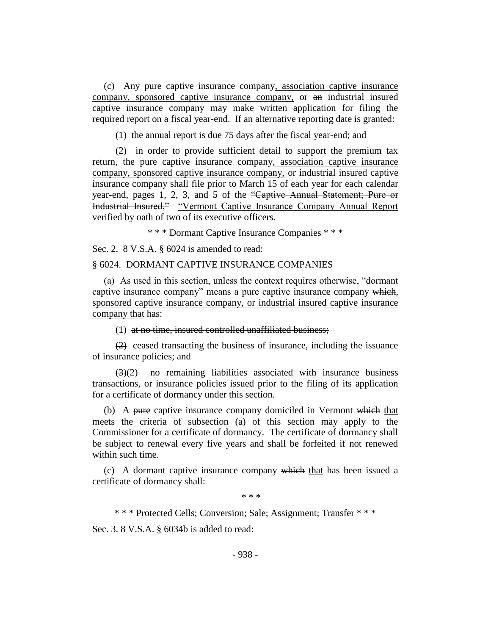(c) Any pure captive insurance company, association captive insurance company, sponsored captive insurance company, or an industrial insured captive insurance company may make written application for filing the required report on a fiscal year-end. If an alternative reporting date is granted:

(1) the annual report is due 75 days after the fiscal year-end; and

(2) in order to provide sufficient detail to support the premium tax return, the pure captive insurance company, association captive insurance company, sponsored captive insurance company, or industrial insured captive insurance company shall file prior to March 15 of each year for each calendar year-end, pages 1, 2, 3, and 5 of the "Captive Annual Statement; Pure or Industrial Insured," "Vermont Captive Insurance Company Annual Report verified by oath of two of its executive officers.

\* \* \* Dormant Captive Insurance Companies \* \* \*

Sec. 2. 8 V.S.A. § 6024 is amended to read:

#### § 6024. DORMANT CAPTIVE INSURANCE COMPANIES

(a) As used in this section, unless the context requires otherwise, "dormant captive insurance company" means a pure captive insurance company which, sponsored captive insurance company, or industrial insured captive insurance company that has:

(1) at no time, insured controlled unaffiliated business;

(2) ceased transacting the business of insurance, including the issuance of insurance policies; and

 $(3)(2)$  no remaining liabilities associated with insurance business transactions, or insurance policies issued prior to the filing of its application for a certificate of dormancy under this section.

(b) A pure captive insurance company domiciled in Vermont which that meets the criteria of subsection (a) of this section may apply to the Commissioner for a certificate of dormancy. The certificate of dormancy shall be subject to renewal every five years and shall be forfeited if not renewed within such time.

(c) A dormant captive insurance company which that has been issued a certificate of dormancy shall:

\* \* \*

\* \* \* Protected Cells; Conversion; Sale; Assignment; Transfer \* \* \*

Sec. 3. 8 V.S.A. § 6034b is added to read: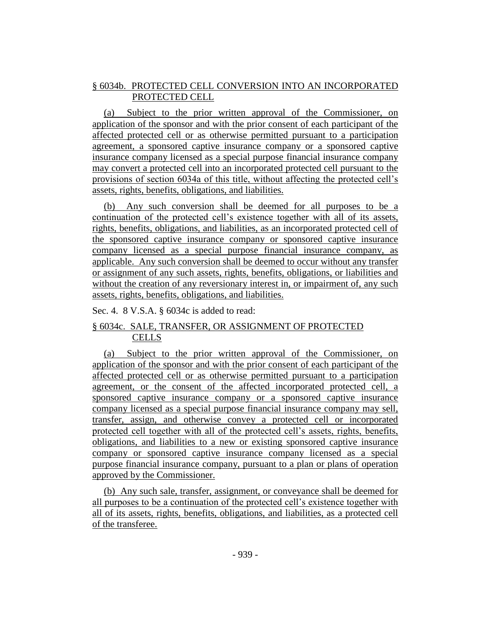## § 6034b. PROTECTED CELL CONVERSION INTO AN INCORPORATED PROTECTED CELL

(a) Subject to the prior written approval of the Commissioner, on application of the sponsor and with the prior consent of each participant of the affected protected cell or as otherwise permitted pursuant to a participation agreement, a sponsored captive insurance company or a sponsored captive insurance company licensed as a special purpose financial insurance company may convert a protected cell into an incorporated protected cell pursuant to the provisions of section 6034a of this title, without affecting the protected cell's assets, rights, benefits, obligations, and liabilities.

(b) Any such conversion shall be deemed for all purposes to be a continuation of the protected cell's existence together with all of its assets, rights, benefits, obligations, and liabilities, as an incorporated protected cell of the sponsored captive insurance company or sponsored captive insurance company licensed as a special purpose financial insurance company, as applicable. Any such conversion shall be deemed to occur without any transfer or assignment of any such assets, rights, benefits, obligations, or liabilities and without the creation of any reversionary interest in, or impairment of, any such assets, rights, benefits, obligations, and liabilities.

## Sec. 4. 8 V.S.A. § 6034c is added to read:

## § 6034c. SALE, TRANSFER, OR ASSIGNMENT OF PROTECTED **CELLS**

(a) Subject to the prior written approval of the Commissioner, on application of the sponsor and with the prior consent of each participant of the affected protected cell or as otherwise permitted pursuant to a participation agreement, or the consent of the affected incorporated protected cell, a sponsored captive insurance company or a sponsored captive insurance company licensed as a special purpose financial insurance company may sell, transfer, assign, and otherwise convey a protected cell or incorporated protected cell together with all of the protected cell's assets, rights, benefits, obligations, and liabilities to a new or existing sponsored captive insurance company or sponsored captive insurance company licensed as a special purpose financial insurance company, pursuant to a plan or plans of operation approved by the Commissioner.

(b) Any such sale, transfer, assignment, or conveyance shall be deemed for all purposes to be a continuation of the protected cell's existence together with all of its assets, rights, benefits, obligations, and liabilities, as a protected cell of the transferee.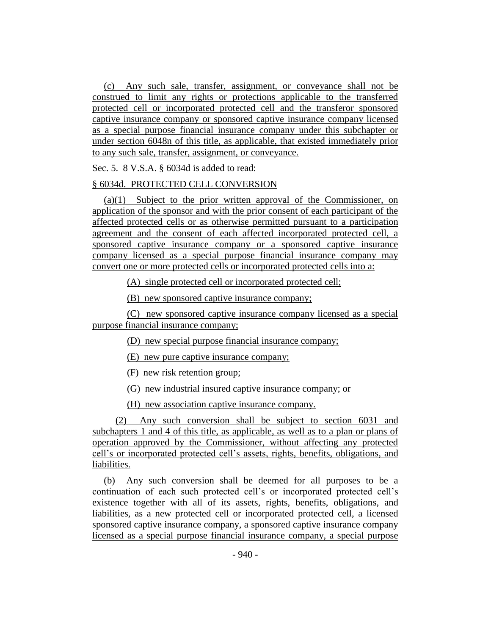(c) Any such sale, transfer, assignment, or conveyance shall not be construed to limit any rights or protections applicable to the transferred protected cell or incorporated protected cell and the transferor sponsored captive insurance company or sponsored captive insurance company licensed as a special purpose financial insurance company under this subchapter or under section 6048n of this title, as applicable, that existed immediately prior to any such sale, transfer, assignment, or conveyance.

Sec. 5. 8 V.S.A. § 6034d is added to read:

## § 6034d. PROTECTED CELL CONVERSION

(a)(1) Subject to the prior written approval of the Commissioner, on application of the sponsor and with the prior consent of each participant of the affected protected cells or as otherwise permitted pursuant to a participation agreement and the consent of each affected incorporated protected cell, a sponsored captive insurance company or a sponsored captive insurance company licensed as a special purpose financial insurance company may convert one or more protected cells or incorporated protected cells into a:

(A) single protected cell or incorporated protected cell;

(B) new sponsored captive insurance company;

(C) new sponsored captive insurance company licensed as a special purpose financial insurance company;

(D) new special purpose financial insurance company;

(E) new pure captive insurance company;

(F) new risk retention group;

(G) new industrial insured captive insurance company; or

(H) new association captive insurance company.

(2) Any such conversion shall be subject to section 6031 and subchapters 1 and 4 of this title, as applicable, as well as to a plan or plans of operation approved by the Commissioner, without affecting any protected cell's or incorporated protected cell's assets, rights, benefits, obligations, and liabilities.

(b) Any such conversion shall be deemed for all purposes to be a continuation of each such protected cell's or incorporated protected cell's existence together with all of its assets, rights, benefits, obligations, and liabilities, as a new protected cell or incorporated protected cell, a licensed sponsored captive insurance company, a sponsored captive insurance company licensed as a special purpose financial insurance company, a special purpose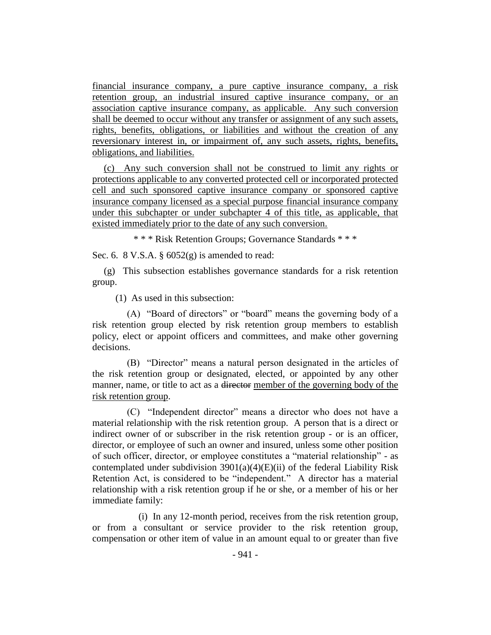financial insurance company, a pure captive insurance company, a risk retention group, an industrial insured captive insurance company, or an association captive insurance company, as applicable. Any such conversion shall be deemed to occur without any transfer or assignment of any such assets, rights, benefits, obligations, or liabilities and without the creation of any reversionary interest in, or impairment of, any such assets, rights, benefits, obligations, and liabilities.

(c) Any such conversion shall not be construed to limit any rights or protections applicable to any converted protected cell or incorporated protected cell and such sponsored captive insurance company or sponsored captive insurance company licensed as a special purpose financial insurance company under this subchapter or under subchapter 4 of this title, as applicable, that existed immediately prior to the date of any such conversion.

\* \* \* Risk Retention Groups; Governance Standards \* \* \*

Sec. 6. 8 V.S.A. § 6052(g) is amended to read:

(g) This subsection establishes governance standards for a risk retention group.

(1) As used in this subsection:

(A) "Board of directors" or "board" means the governing body of a risk retention group elected by risk retention group members to establish policy, elect or appoint officers and committees, and make other governing decisions.

(B) "Director" means a natural person designated in the articles of the risk retention group or designated, elected, or appointed by any other manner, name, or title to act as a director member of the governing body of the risk retention group.

(C) "Independent director" means a director who does not have a material relationship with the risk retention group. A person that is a direct or indirect owner of or subscriber in the risk retention group - or is an officer, director, or employee of such an owner and insured, unless some other position of such officer, director, or employee constitutes a "material relationship" - as contemplated under subdivision  $3901(a)(4)(E)(ii)$  of the federal Liability Risk Retention Act, is considered to be "independent." A director has a material relationship with a risk retention group if he or she, or a member of his or her immediate family:

(i) In any 12-month period, receives from the risk retention group, or from a consultant or service provider to the risk retention group, compensation or other item of value in an amount equal to or greater than five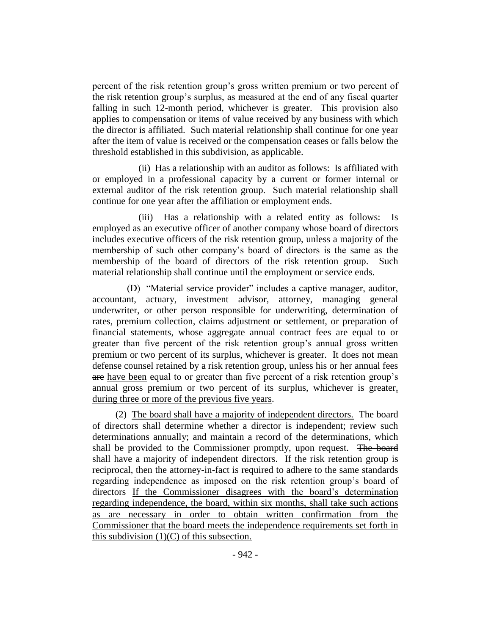percent of the risk retention group's gross written premium or two percent of the risk retention group's surplus, as measured at the end of any fiscal quarter falling in such 12-month period, whichever is greater. This provision also applies to compensation or items of value received by any business with which the director is affiliated. Such material relationship shall continue for one year after the item of value is received or the compensation ceases or falls below the threshold established in this subdivision, as applicable.

(ii) Has a relationship with an auditor as follows: Is affiliated with or employed in a professional capacity by a current or former internal or external auditor of the risk retention group. Such material relationship shall continue for one year after the affiliation or employment ends.

(iii) Has a relationship with a related entity as follows: Is employed as an executive officer of another company whose board of directors includes executive officers of the risk retention group, unless a majority of the membership of such other company's board of directors is the same as the membership of the board of directors of the risk retention group. Such material relationship shall continue until the employment or service ends.

(D) "Material service provider" includes a captive manager, auditor, accountant, actuary, investment advisor, attorney, managing general underwriter, or other person responsible for underwriting, determination of rates, premium collection, claims adjustment or settlement, or preparation of financial statements, whose aggregate annual contract fees are equal to or greater than five percent of the risk retention group's annual gross written premium or two percent of its surplus, whichever is greater. It does not mean defense counsel retained by a risk retention group, unless his or her annual fees are have been equal to or greater than five percent of a risk retention group's annual gross premium or two percent of its surplus, whichever is greater, during three or more of the previous five years.

(2) The board shall have a majority of independent directors. The board of directors shall determine whether a director is independent; review such determinations annually; and maintain a record of the determinations, which shall be provided to the Commissioner promptly, upon request. The board shall have a majority of independent directors. If the risk retention group is reciprocal, then the attorney-in-fact is required to adhere to the same standards regarding independence as imposed on the risk retention group's board of directors If the Commissioner disagrees with the board's determination regarding independence, the board, within six months, shall take such actions as are necessary in order to obtain written confirmation from the Commissioner that the board meets the independence requirements set forth in this subdivision  $(1)(C)$  of this subsection.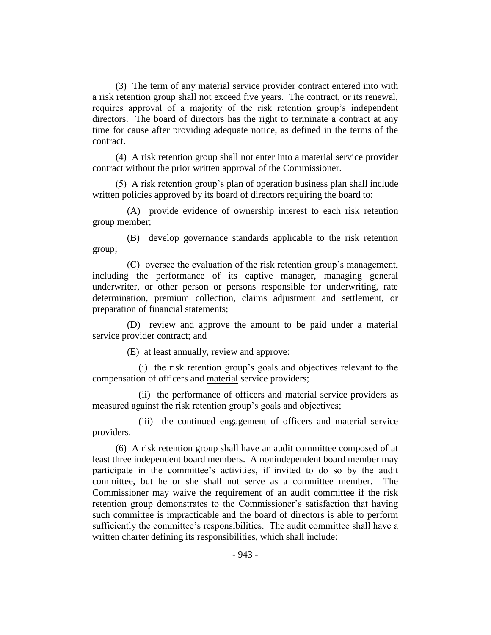(3) The term of any material service provider contract entered into with a risk retention group shall not exceed five years. The contract, or its renewal, requires approval of a majority of the risk retention group's independent directors. The board of directors has the right to terminate a contract at any time for cause after providing adequate notice, as defined in the terms of the contract.

(4) A risk retention group shall not enter into a material service provider contract without the prior written approval of the Commissioner.

(5) A risk retention group's  $\frac{\partial^2 u}{\partial x^2}$  business plan shall include written policies approved by its board of directors requiring the board to:

(A) provide evidence of ownership interest to each risk retention group member;

(B) develop governance standards applicable to the risk retention group;

(C) oversee the evaluation of the risk retention group's management, including the performance of its captive manager, managing general underwriter, or other person or persons responsible for underwriting, rate determination, premium collection, claims adjustment and settlement, or preparation of financial statements;

(D) review and approve the amount to be paid under a material service provider contract; and

(E) at least annually, review and approve:

(i) the risk retention group's goals and objectives relevant to the compensation of officers and material service providers;

(ii) the performance of officers and material service providers as measured against the risk retention group's goals and objectives;

(iii) the continued engagement of officers and material service providers.

(6) A risk retention group shall have an audit committee composed of at least three independent board members. A nonindependent board member may participate in the committee's activities, if invited to do so by the audit committee, but he or she shall not serve as a committee member. The Commissioner may waive the requirement of an audit committee if the risk retention group demonstrates to the Commissioner's satisfaction that having such committee is impracticable and the board of directors is able to perform sufficiently the committee's responsibilities. The audit committee shall have a written charter defining its responsibilities, which shall include: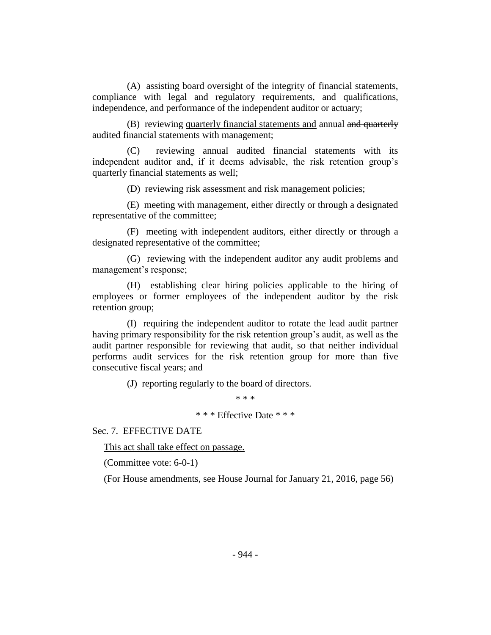(A) assisting board oversight of the integrity of financial statements, compliance with legal and regulatory requirements, and qualifications, independence, and performance of the independent auditor or actuary;

(B) reviewing quarterly financial statements and annual and quarterly audited financial statements with management;

(C) reviewing annual audited financial statements with its independent auditor and, if it deems advisable, the risk retention group's quarterly financial statements as well;

(D) reviewing risk assessment and risk management policies;

(E) meeting with management, either directly or through a designated representative of the committee;

(F) meeting with independent auditors, either directly or through a designated representative of the committee;

(G) reviewing with the independent auditor any audit problems and management's response;

(H) establishing clear hiring policies applicable to the hiring of employees or former employees of the independent auditor by the risk retention group;

(I) requiring the independent auditor to rotate the lead audit partner having primary responsibility for the risk retention group's audit, as well as the audit partner responsible for reviewing that audit, so that neither individual performs audit services for the risk retention group for more than five consecutive fiscal years; and

(J) reporting regularly to the board of directors.

\* \* \*

\* \* \* Effective Date \* \* \*

Sec. 7. EFFECTIVE DATE

This act shall take effect on passage.

(Committee vote: 6-0-1)

(For House amendments, see House Journal for January 21, 2016, page 56)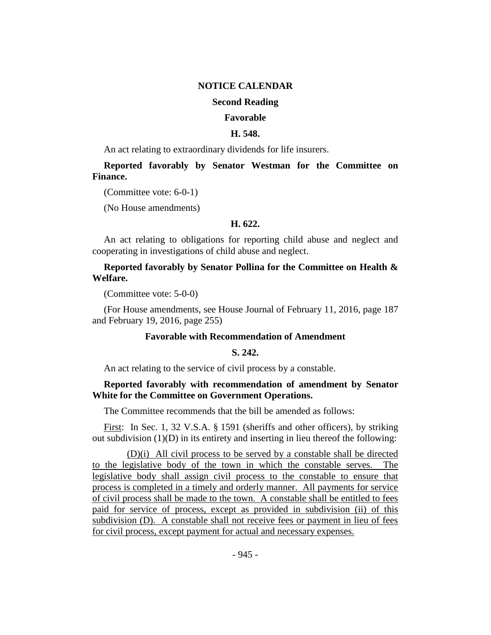## **NOTICE CALENDAR**

## **Second Reading**

#### **Favorable**

#### **H. 548.**

An act relating to extraordinary dividends for life insurers.

**Reported favorably by Senator Westman for the Committee on Finance.**

(Committee vote: 6-0-1)

(No House amendments)

#### **H. 622.**

An act relating to obligations for reporting child abuse and neglect and cooperating in investigations of child abuse and neglect.

**Reported favorably by Senator Pollina for the Committee on Health & Welfare.**

(Committee vote: 5-0-0)

(For House amendments, see House Journal of February 11, 2016, page 187 and February 19, 2016, page 255)

## **Favorable with Recommendation of Amendment**

## **S. 242.**

An act relating to the service of civil process by a constable.

## **Reported favorably with recommendation of amendment by Senator White for the Committee on Government Operations.**

The Committee recommends that the bill be amended as follows:

First: In Sec. 1, 32 V.S.A. § 1591 (sheriffs and other officers), by striking out subdivision (1)(D) in its entirety and inserting in lieu thereof the following:

(D)(i) All civil process to be served by a constable shall be directed to the legislative body of the town in which the constable serves. The legislative body shall assign civil process to the constable to ensure that process is completed in a timely and orderly manner. All payments for service of civil process shall be made to the town. A constable shall be entitled to fees paid for service of process, except as provided in subdivision (ii) of this subdivision (D). A constable shall not receive fees or payment in lieu of fees for civil process, except payment for actual and necessary expenses.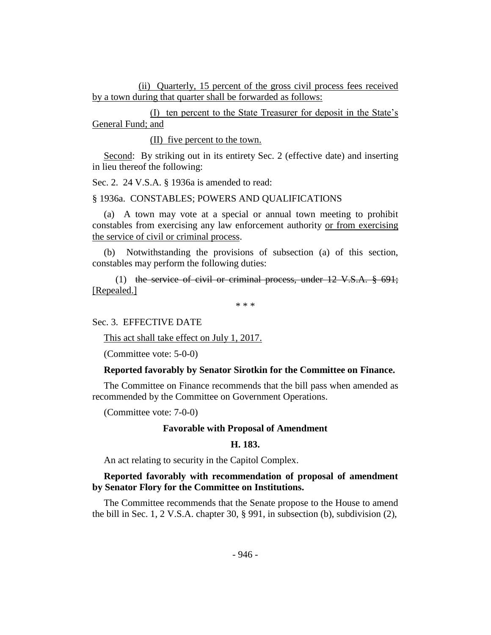(ii) Quarterly, 15 percent of the gross civil process fees received by a town during that quarter shall be forwarded as follows:

(I) ten percent to the State Treasurer for deposit in the State's General Fund; and

(II) five percent to the town.

Second: By striking out in its entirety Sec. 2 (effective date) and inserting in lieu thereof the following:

Sec. 2. 24 V.S.A. § 1936a is amended to read:

§ 1936a. CONSTABLES; POWERS AND QUALIFICATIONS

(a) A town may vote at a special or annual town meeting to prohibit constables from exercising any law enforcement authority or from exercising the service of civil or criminal process.

(b) Notwithstanding the provisions of subsection (a) of this section, constables may perform the following duties:

(1) the service of civil or criminal process, under 12 V.S.A. § 691; [Repealed.]

\* \* \*

Sec. 3. EFFECTIVE DATE

This act shall take effect on July 1, 2017.

(Committee vote: 5-0-0)

#### **Reported favorably by Senator Sirotkin for the Committee on Finance.**

The Committee on Finance recommends that the bill pass when amended as recommended by the Committee on Government Operations.

(Committee vote: 7-0-0)

#### **Favorable with Proposal of Amendment**

## **H. 183.**

An act relating to security in the Capitol Complex.

## **Reported favorably with recommendation of proposal of amendment by Senator Flory for the Committee on Institutions.**

The Committee recommends that the Senate propose to the House to amend the bill in Sec. 1, 2 V.S.A. chapter 30, § 991, in subsection (b), subdivision (2),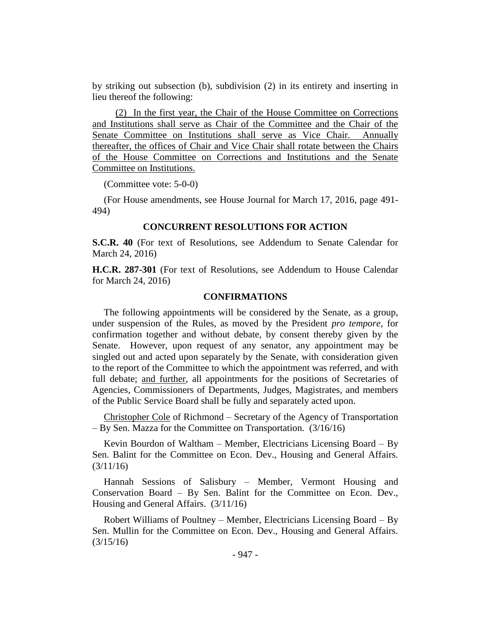by striking out subsection (b), subdivision (2) in its entirety and inserting in lieu thereof the following:

(2) In the first year, the Chair of the House Committee on Corrections and Institutions shall serve as Chair of the Committee and the Chair of the Senate Committee on Institutions shall serve as Vice Chair. Annually thereafter, the offices of Chair and Vice Chair shall rotate between the Chairs of the House Committee on Corrections and Institutions and the Senate Committee on Institutions.

(Committee vote: 5-0-0)

(For House amendments, see House Journal for March 17, 2016, page 491- 494)

#### **CONCURRENT RESOLUTIONS FOR ACTION**

**S.C.R. 40** (For text of Resolutions, see Addendum to Senate Calendar for March 24, 2016)

**H.C.R. 287-301** (For text of Resolutions, see Addendum to House Calendar for March 24, 2016)

## **CONFIRMATIONS**

The following appointments will be considered by the Senate, as a group, under suspension of the Rules, as moved by the President *pro tempore,* for confirmation together and without debate, by consent thereby given by the Senate. However, upon request of any senator, any appointment may be singled out and acted upon separately by the Senate, with consideration given to the report of the Committee to which the appointment was referred, and with full debate; and further, all appointments for the positions of Secretaries of Agencies, Commissioners of Departments, Judges, Magistrates, and members of the Public Service Board shall be fully and separately acted upon.

Christopher Cole of Richmond – Secretary of the Agency of Transportation – By Sen. Mazza for the Committee on Transportation. (3/16/16)

Kevin Bourdon of Waltham – Member, Electricians Licensing Board – By Sen. Balint for the Committee on Econ. Dev., Housing and General Affairs.  $(3/11/16)$ 

Hannah Sessions of Salisbury – Member, Vermont Housing and Conservation Board – By Sen. Balint for the Committee on Econ. Dev., Housing and General Affairs. (3/11/16)

Robert Williams of Poultney – Member, Electricians Licensing Board – By Sen. Mullin for the Committee on Econ. Dev., Housing and General Affairs. (3/15/16)